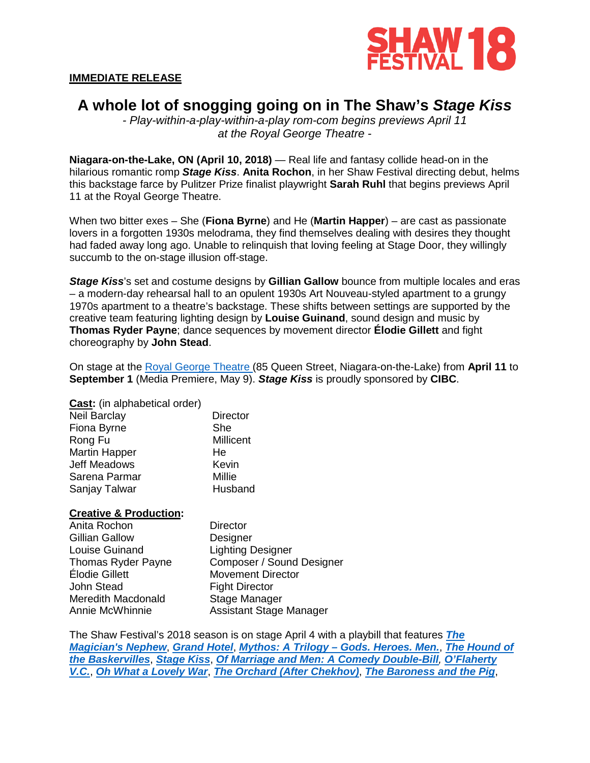

#### **IMMEDIATE RELEASE**

# **A whole lot of snogging going on in The Shaw's** *Stage Kiss*

*- Play-within-a-play-within-a-play rom-com begins previews April 11 at the Royal George Theatre -*

**Niagara-on-the-Lake, ON (April 10, 2018)** — Real life and fantasy collide head-on in the hilarious romantic romp *Stage Kiss*. **Anita Rochon**, in her Shaw Festival directing debut, helms this backstage farce by Pulitzer Prize finalist playwright **Sarah Ruhl** that begins previews April 11 at the Royal George Theatre.

When two bitter exes – She (**Fiona Byrne**) and He (**Martin Happer**) – are cast as passionate lovers in a forgotten 1930s melodrama, they find themselves dealing with desires they thought had faded away long ago. Unable to relinquish that loving feeling at Stage Door, they willingly succumb to the on-stage illusion off-stage.

*Stage Kiss*'s set and costume designs by **Gillian Gallow** bounce from multiple locales and eras – a modern-day rehearsal hall to an opulent 1930s Art Nouveau-styled apartment to a grungy 1970s apartment to a theatre's backstage. These shifts between settings are supported by the creative team featuring lighting design by **Louise Guinand**, sound design and music by **Thomas Ryder Payne**; dance sequences by movement director **Élodie Gillett** and fight choreography by **John Stead**.

On stage at the [Royal George Theatre](https://www.shawfest.com/visit/theatres/#royal-george-theatre) (85 Queen Street, Niagara-on-the-Lake) from **April 11** to **September 1** (Media Premiere, May 9). *Stage Kiss* is proudly sponsored by **CIBC**.

**Cast:** (in alphabetical order) Neil Barclay Fiona Byrne **Director** She

Millicent He Kevin Millie **Husband** 

### **Creative & Production:**

Rong Fu Martin Happer Jeff Meadows Sarena Parmar Sanjay Talwar

Anita Rochon Gillian Gallow Louise Guinand Thomas Ryder Payne Élodie Gillett John Stead Meredith Macdonald Annie McWhinnie **Director Designer** Lighting Designer Composer / Sound Designer Movement Director Fight Director Stage Manager Assistant Stage Manager

The Shaw Festival's 2018 season is on stage April 4 with a playbill that features *[The](https://www.shawfest.com/playbill/the-magicians-nephew/)  [Magician's Nephew](https://www.shawfest.com/playbill/the-magicians-nephew/)*, *[Grand Hotel](https://www.shawfest.com/playbill/grand-hotel/)*, *Mythos: A Trilogy – [Gods. Heroes. Men.](https://www.shawfest.com/playbill/mythos-trilogy-gods-heroes-men/)*, *[The Hound of](https://www.shawfest.com/playbill/the-hound-of-the-baskervilles/)  [the Baskervilles](https://www.shawfest.com/playbill/the-hound-of-the-baskervilles/)*, *[Stage Kiss](https://www.shawfest.com/playbill/stage-kiss/)*, *[Of Marriage and Men: A Comedy Double-Bill](https://www.shawfest.com/playbill/of-marriage-men/), [O'Flaherty](https://www.shawfest.com/playbill/oflaherty-v-c/)  [V.C.](https://www.shawfest.com/playbill/oflaherty-v-c/)*, *[Oh What a Lovely War](https://www.shawfest.com/playbill/oh-lovely-war/)*, *[The Orchard \(After Chekhov\)](https://www.shawfest.com/playbill/the-orchard-after-chekhov/)*, *[The Baroness and the Pig](https://www.shawfest.com/playbill/the-baroness-and-the-pig/)*,